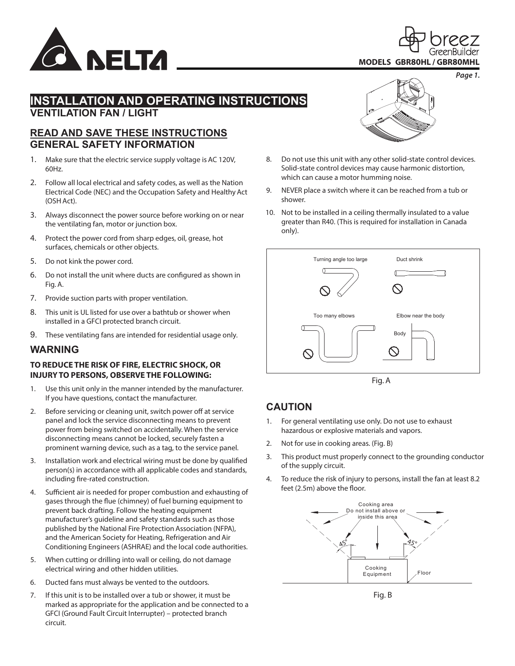

## **INSTALLATION AND OPERATING INSTRUCTIONS VENTILATION FAN / LIGHT**

## **READ AND SAVE THESE INSTRUCTIONS GENERAL SAFETY INFORMATION**

- 1. Make sure that the electric service supply voltage is AC 120V, 60Hz.
- 2. Follow all local electrical and safety codes, as well as the Nation Electrical Code (NEC) and the Occupation Safety and Healthy Act (OSHAct).
- 3. Always disconnect the power source before working on or near the ventilating fan, motor or junction box.
- 4. Protect the power cord from sharp edges, oil, grease, hot surfaces, chemicals or other objects.
- 5. Do not kink the power cord.
- 6. Do not install the unit where ducts are configured as shown in Fig. A.
- 7. Provide suction parts with proper ventilation.
- 8. This unit is UL listed for use over a bathtub or shower when installed in a GFCI protected branch circuit.
- 9. These ventilating fans are intended for residential usage only.

## **WARNING**

## **TO REDUCE THE RISK OF FIRE, ELECTRIC SHOCK, OR INJURYTO PERSONS, OBSERVE THE FOLLOWING:**

- 1. Use this unit only in the manner intended by the manufacturer. If you have questions, contact the manufacturer.
- 2. Before servicing or cleaning unit, switch power off at service panel and lock the service disconnecting means to prevent power from being switched on accidentally. When the service disconnecting means cannot be locked, securely fasten a prominent warning device, such as a tag, to the service panel.
- 3. Installation work and electrical wiring must be done by qualified person(s) in accordance with all applicable codes and standards, including fire-rated construction.
- 4. Sufficient air is needed for proper combustion and exhausting of gases through the flue (chimney) of fuel burning equipment to prevent back drafting. Follow the heating equipment manufacturer's guideline and safety standards such as those published by the National Fire Protection Association (NFPA), and the American Society for Heating, Refrigeration and Air Conditioning Engineers (ASHRAE) and the local code authorities.
- 5. When cutting or drilling into wall or ceiling, do not damage electrical wiring and other hidden utilities.
- 6. Ducted fans must always be vented to the outdoors.
- 7. If this unit is to be installed over a tub or shower, it must be marked as appropriate for the application and be connected to a GFCI (Ground Fault Circuit Interrupter) – protected branch circuit.



- 8. Do not use this unit with any other solid-state control devices. Solid-state control devices may cause harmonic distortion, which can cause a motor humming noise.
- 9. NEVER place a switch where it can be reached from a tub or shower.
- 10. Not to be installed in a ceiling thermally insulated to a value greater than R40. (This is required for installation in Canada only).



Fig. A

# **CAUTION**

- 1. For general ventilating use only. Do not use to exhaust hazardous or explosive materials and vapors.
- 2. Not for use in cooking areas. (Fig. B)
- 3. This product must properly connect to the grounding conductor of the supply circuit.
- 4. To reduce the risk of injury to persons, install the fan at least 8.2 feet (2.5m) above the floor.



Fig. B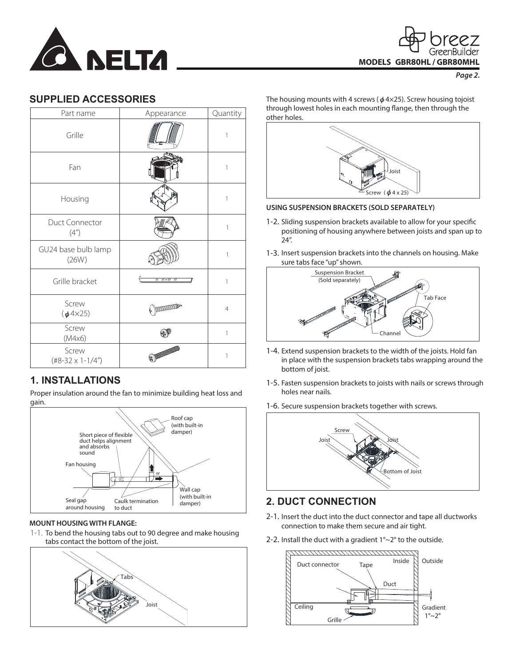

# **MODELS GBR80HL / GBR80MHL**

## **SUPPLIED ACCESSORIES**

| Part name                         | Appearance                                                       | Quantity       |
|-----------------------------------|------------------------------------------------------------------|----------------|
| Grille                            |                                                                  | 1              |
| Fan                               |                                                                  | 1              |
| Housing                           |                                                                  | 1              |
| <b>Duct Connector</b><br>(4")     |                                                                  | 1              |
| GU24 base bulb lamp<br>(26W)      |                                                                  | 1              |
| Grille bracket                    | $\overline{\sigma \cdot \sigma}$ $\sigma$<br>$\overline{\sigma}$ | 1              |
| Screw<br>$(\phi$ 4×25)            | pommon.                                                          | $\overline{4}$ |
| Screw<br>(M4x6)                   |                                                                  | 1              |
| Screw<br>$(\#8-32 \times 1-1/4")$ | <b>S AND MONTANDRATION</b>                                       | 1              |

# **1. INSTALLATIONS**

Proper insulation around the fan to minimize building heat loss and gain.



#### **MOUNT HOUSING WITH FLANGE:**

1-1. To bend the housing tabs out to 90 degree and make housing tabs contact the bottom of the joist.



The housing mounts with 4 screws ( $\phi$ 4×25). Screw housing tojoist through lowest holes in each mounting flange, then through the other holes.



#### **USING SUSPENSION BRACKETS (SOLD SEPARATELY)**

- 1-2. Sliding suspension brackets available to allow for your specific positioning of housing anywhere between joists and span up to 24".
- 1-3. Insert suspension brackets into the channels on housing. Make sure tabs face "up" shown.



- 1-4. Extend suspension brackets to the width of the joists. Hold fan in place with the suspension brackets tabs wrapping around the bottom of joist.
- 1-5. Fasten suspension brackets to joists with nails or screws through holes near nails.
- 1-6. Secure suspension brackets together with screws.



## **2. DUCT CONNECTION**

- 2-1. Insert the duct into the duct connector and tape all ductworks connection to make them secure and air tight.
- 2-2. Install the duct with a gradient  $1^{\circ}$  ~2° to the outside.

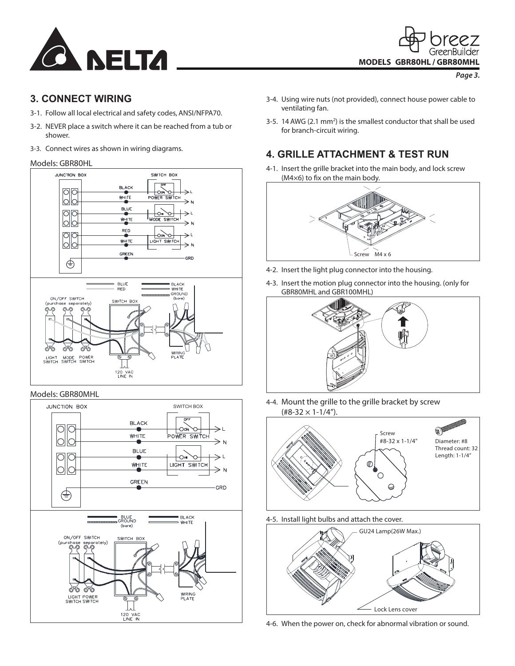

## **3. CONNECT WIRING**

- 3-1. Follow all local electrical and safety codes, ANSI/NFPA70.
- 3-2. NEVER place a switch where it can be reached from a tub or shower.
- 3-3. Connect wires as shown in wiring diagrams.

### Models: GBR80HL



#### Models: GBR80MHL



- 3-4. Using wire nuts (not provided), connect house power cable to ventilating fan.
- 3-5. 14 AWG (2.1 mm<sup>2</sup>) is the smallest conductor that shall be used for branch-circuit wiring.

# **4. GRILLE ATTACHMENT & TEST RUN**

4-1. Insert the grille bracket into the main body, and lock screw (M4 $\times$ 6) to fix on the main body.



- 4-2. Insert the light plug connector into the housing.
- 4-3. Insert the motion plug connector into the housing. (only for GBR80MHL and GBR100MHL)



4-4. Mount the grille to the grille bracket by screw  $(48-32 \times 1-1/4")$ .



4-5. Install light bulbs and attach the cover.



4-6. When the power on, check for abnormal vibration or sound.